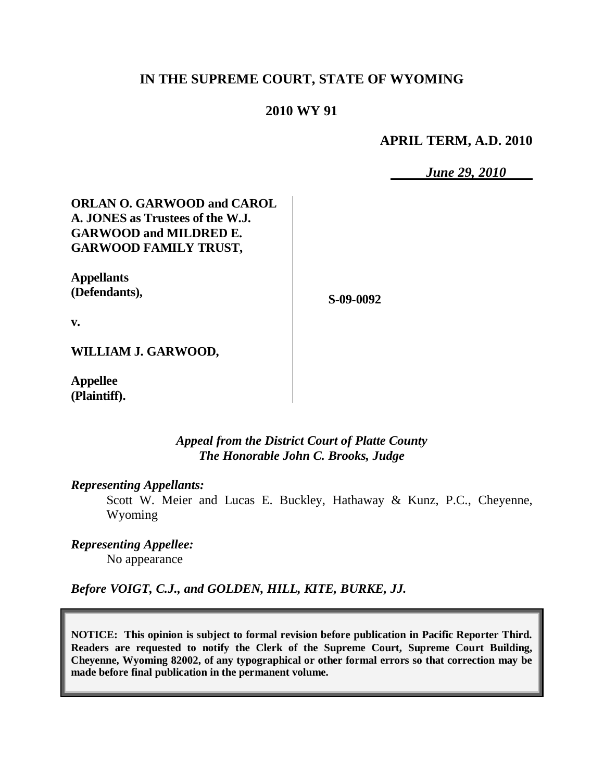# **IN THE SUPREME COURT, STATE OF WYOMING**

## **2010 WY 91**

**APRIL TERM, A.D. 2010**

*June 29, 2010*

# **ORLAN O. GARWOOD and CAROL A. JONES as Trustees of the W.J. GARWOOD and MILDRED E. GARWOOD FAMILY TRUST,**

**Appellants (Defendants),**

**S-09-0092**

**v.**

**WILLIAM J. GARWOOD,**

**Appellee (Plaintiff).**

### *Appeal from the District Court of Platte County The Honorable John C. Brooks, Judge*

### *Representing Appellants:*

Scott W. Meier and Lucas E. Buckley, Hathaway & Kunz, P.C., Cheyenne, Wyoming

*Representing Appellee:* No appearance

*Before VOIGT, C.J., and GOLDEN, HILL, KITE, BURKE, JJ.*

**NOTICE: This opinion is subject to formal revision before publication in Pacific Reporter Third. Readers are requested to notify the Clerk of the Supreme Court, Supreme Court Building, Cheyenne, Wyoming 82002, of any typographical or other formal errors so that correction may be made before final publication in the permanent volume.**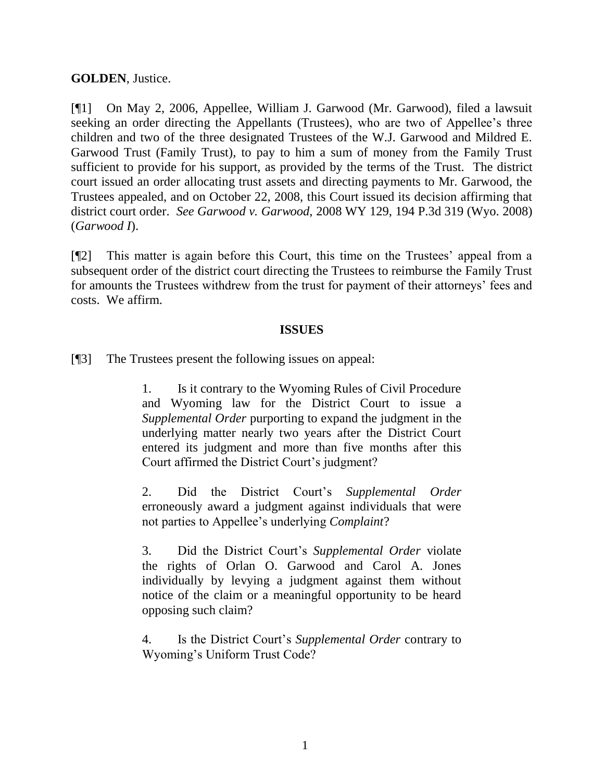## **GOLDEN**, Justice.

[¶1] On May 2, 2006, Appellee, William J. Garwood (Mr. Garwood), filed a lawsuit seeking an order directing the Appellants (Trustees), who are two of Appellee's three children and two of the three designated Trustees of the W.J. Garwood and Mildred E. Garwood Trust (Family Trust), to pay to him a sum of money from the Family Trust sufficient to provide for his support, as provided by the terms of the Trust. The district court issued an order allocating trust assets and directing payments to Mr. Garwood, the Trustees appealed, and on October 22, 2008, this Court issued its decision affirming that district court order. *See Garwood v. Garwood*, 2008 WY 129, 194 P.3d 319 (Wyo. 2008) (*Garwood I*).

[¶2] This matter is again before this Court, this time on the Trustees' appeal from a subsequent order of the district court directing the Trustees to reimburse the Family Trust for amounts the Trustees withdrew from the trust for payment of their attorneys' fees and costs. We affirm.

### **ISSUES**

[¶3] The Trustees present the following issues on appeal:

1. Is it contrary to the Wyoming Rules of Civil Procedure and Wyoming law for the District Court to issue a *Supplemental Order* purporting to expand the judgment in the underlying matter nearly two years after the District Court entered its judgment and more than five months after this Court affirmed the District Court's judgment?

2. Did the District Court's *Supplemental Order* erroneously award a judgment against individuals that were not parties to Appellee's underlying *Complaint*?

3. Did the District Court's *Supplemental Order* violate the rights of Orlan O. Garwood and Carol A. Jones individually by levying a judgment against them without notice of the claim or a meaningful opportunity to be heard opposing such claim?

4. Is the District Court's *Supplemental Order* contrary to Wyoming's Uniform Trust Code?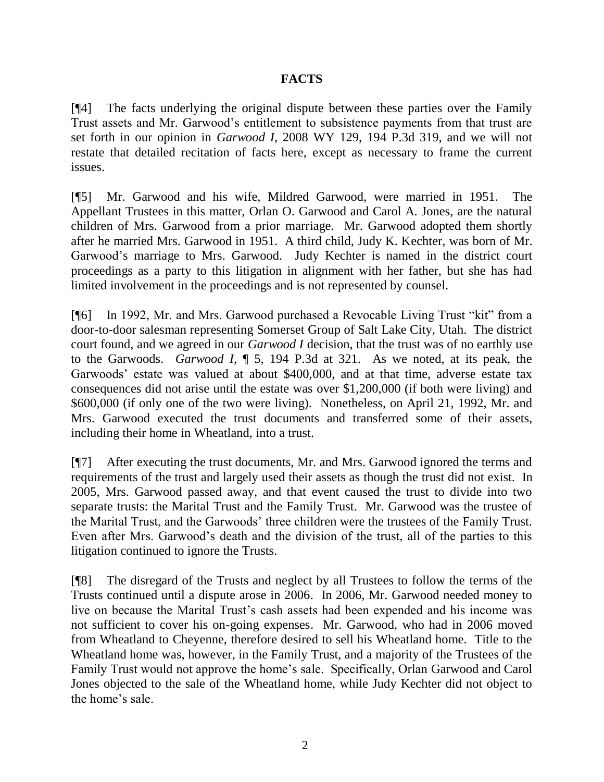# **FACTS**

[¶4] The facts underlying the original dispute between these parties over the Family Trust assets and Mr. Garwood's entitlement to subsistence payments from that trust are set forth in our opinion in *Garwood I*, 2008 WY 129, 194 P.3d 319, and we will not restate that detailed recitation of facts here, except as necessary to frame the current issues.

[¶5] Mr. Garwood and his wife, Mildred Garwood, were married in 1951. The Appellant Trustees in this matter, Orlan O. Garwood and Carol A. Jones, are the natural children of Mrs. Garwood from a prior marriage. Mr. Garwood adopted them shortly after he married Mrs. Garwood in 1951. A third child, Judy K. Kechter, was born of Mr. Garwood's marriage to Mrs. Garwood. Judy Kechter is named in the district court proceedings as a party to this litigation in alignment with her father, but she has had limited involvement in the proceedings and is not represented by counsel.

[¶6] In 1992, Mr. and Mrs. Garwood purchased a Revocable Living Trust "kit" from a door-to-door salesman representing Somerset Group of Salt Lake City, Utah. The district court found, and we agreed in our *Garwood I* decision, that the trust was of no earthly use to the Garwoods. *Garwood I*, ¶ 5, 194 P.3d at 321. As we noted, at its peak, the Garwoods' estate was valued at about \$400,000, and at that time, adverse estate tax consequences did not arise until the estate was over \$1,200,000 (if both were living) and \$600,000 (if only one of the two were living). Nonetheless, on April 21, 1992, Mr. and Mrs. Garwood executed the trust documents and transferred some of their assets, including their home in Wheatland, into a trust.

[¶7] After executing the trust documents, Mr. and Mrs. Garwood ignored the terms and requirements of the trust and largely used their assets as though the trust did not exist. In 2005, Mrs. Garwood passed away, and that event caused the trust to divide into two separate trusts: the Marital Trust and the Family Trust. Mr. Garwood was the trustee of the Marital Trust, and the Garwoods' three children were the trustees of the Family Trust. Even after Mrs. Garwood's death and the division of the trust, all of the parties to this litigation continued to ignore the Trusts.

[¶8] The disregard of the Trusts and neglect by all Trustees to follow the terms of the Trusts continued until a dispute arose in 2006. In 2006, Mr. Garwood needed money to live on because the Marital Trust's cash assets had been expended and his income was not sufficient to cover his on-going expenses. Mr. Garwood, who had in 2006 moved from Wheatland to Cheyenne, therefore desired to sell his Wheatland home. Title to the Wheatland home was, however, in the Family Trust, and a majority of the Trustees of the Family Trust would not approve the home's sale. Specifically, Orlan Garwood and Carol Jones objected to the sale of the Wheatland home, while Judy Kechter did not object to the home's sale.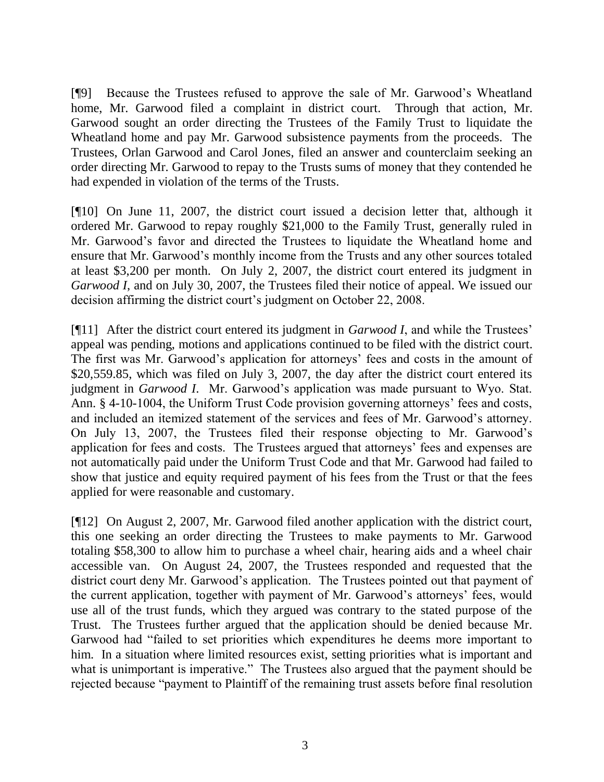[¶9] Because the Trustees refused to approve the sale of Mr. Garwood's Wheatland home, Mr. Garwood filed a complaint in district court. Through that action, Mr. Garwood sought an order directing the Trustees of the Family Trust to liquidate the Wheatland home and pay Mr. Garwood subsistence payments from the proceeds. The Trustees, Orlan Garwood and Carol Jones, filed an answer and counterclaim seeking an order directing Mr. Garwood to repay to the Trusts sums of money that they contended he had expended in violation of the terms of the Trusts.

[¶10] On June 11, 2007, the district court issued a decision letter that, although it ordered Mr. Garwood to repay roughly \$21,000 to the Family Trust, generally ruled in Mr. Garwood's favor and directed the Trustees to liquidate the Wheatland home and ensure that Mr. Garwood's monthly income from the Trusts and any other sources totaled at least \$3,200 per month. On July 2, 2007, the district court entered its judgment in *Garwood I*, and on July 30, 2007, the Trustees filed their notice of appeal. We issued our decision affirming the district court's judgment on October 22, 2008.

[¶11] After the district court entered its judgment in *Garwood I*, and while the Trustees' appeal was pending, motions and applications continued to be filed with the district court. The first was Mr. Garwood's application for attorneys' fees and costs in the amount of \$20,559.85, which was filed on July 3, 2007, the day after the district court entered its judgment in *Garwood I*. Mr. Garwood's application was made pursuant to Wyo. Stat. Ann. § 4-10-1004, the Uniform Trust Code provision governing attorneys' fees and costs, and included an itemized statement of the services and fees of Mr. Garwood's attorney. On July 13, 2007, the Trustees filed their response objecting to Mr. Garwood's application for fees and costs. The Trustees argued that attorneys' fees and expenses are not automatically paid under the Uniform Trust Code and that Mr. Garwood had failed to show that justice and equity required payment of his fees from the Trust or that the fees applied for were reasonable and customary.

[¶12] On August 2, 2007, Mr. Garwood filed another application with the district court, this one seeking an order directing the Trustees to make payments to Mr. Garwood totaling \$58,300 to allow him to purchase a wheel chair, hearing aids and a wheel chair accessible van. On August 24, 2007, the Trustees responded and requested that the district court deny Mr. Garwood's application. The Trustees pointed out that payment of the current application, together with payment of Mr. Garwood's attorneys' fees, would use all of the trust funds, which they argued was contrary to the stated purpose of the Trust. The Trustees further argued that the application should be denied because Mr. Garwood had "failed to set priorities which expenditures he deems more important to him. In a situation where limited resources exist, setting priorities what is important and what is unimportant is imperative." The Trustees also argued that the payment should be rejected because "payment to Plaintiff of the remaining trust assets before final resolution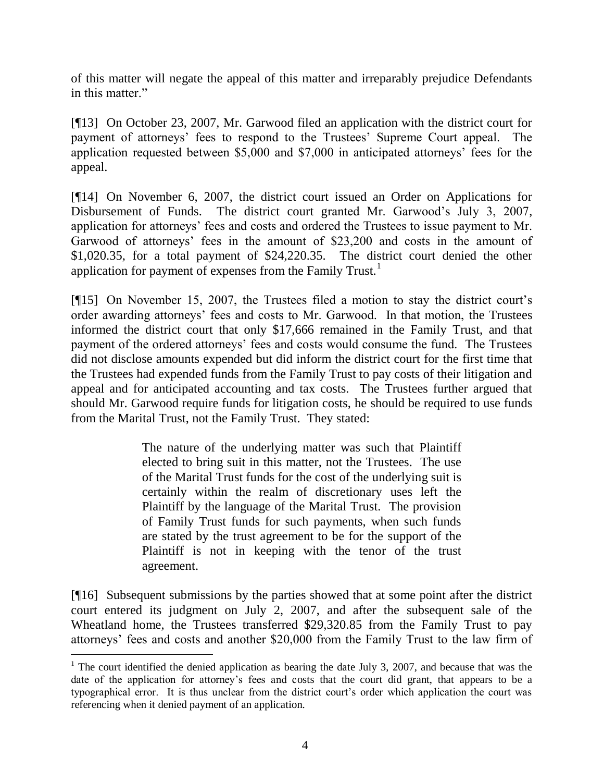of this matter will negate the appeal of this matter and irreparably prejudice Defendants in this matter."

[¶13] On October 23, 2007, Mr. Garwood filed an application with the district court for payment of attorneys' fees to respond to the Trustees' Supreme Court appeal. The application requested between \$5,000 and \$7,000 in anticipated attorneys' fees for the appeal.

[¶14] On November 6, 2007, the district court issued an Order on Applications for Disbursement of Funds. The district court granted Mr. Garwood's July 3, 2007, application for attorneys' fees and costs and ordered the Trustees to issue payment to Mr. Garwood of attorneys' fees in the amount of \$23,200 and costs in the amount of \$1,020.35, for a total payment of \$24,220.35. The district court denied the other application for payment of expenses from the Family Trust.<sup>1</sup>

[¶15] On November 15, 2007, the Trustees filed a motion to stay the district court's order awarding attorneys' fees and costs to Mr. Garwood. In that motion, the Trustees informed the district court that only \$17,666 remained in the Family Trust, and that payment of the ordered attorneys' fees and costs would consume the fund. The Trustees did not disclose amounts expended but did inform the district court for the first time that the Trustees had expended funds from the Family Trust to pay costs of their litigation and appeal and for anticipated accounting and tax costs. The Trustees further argued that should Mr. Garwood require funds for litigation costs, he should be required to use funds from the Marital Trust, not the Family Trust. They stated:

> The nature of the underlying matter was such that Plaintiff elected to bring suit in this matter, not the Trustees. The use of the Marital Trust funds for the cost of the underlying suit is certainly within the realm of discretionary uses left the Plaintiff by the language of the Marital Trust. The provision of Family Trust funds for such payments, when such funds are stated by the trust agreement to be for the support of the Plaintiff is not in keeping with the tenor of the trust agreement.

[¶16] Subsequent submissions by the parties showed that at some point after the district court entered its judgment on July 2, 2007, and after the subsequent sale of the Wheatland home, the Trustees transferred \$29,320.85 from the Family Trust to pay attorneys' fees and costs and another \$20,000 from the Family Trust to the law firm of

 $\overline{a}$ 

<sup>&</sup>lt;sup>1</sup> The court identified the denied application as bearing the date July 3, 2007, and because that was the date of the application for attorney's fees and costs that the court did grant, that appears to be a typographical error. It is thus unclear from the district court's order which application the court was referencing when it denied payment of an application.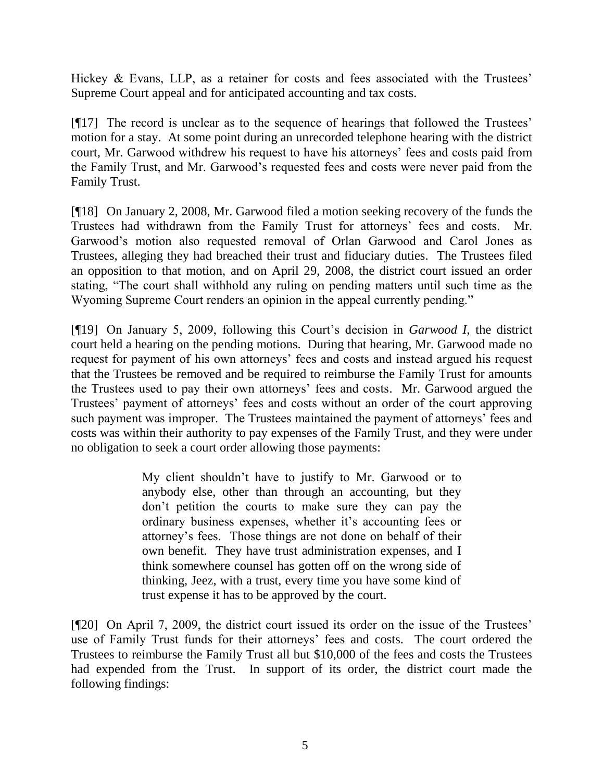Hickey & Evans, LLP, as a retainer for costs and fees associated with the Trustees' Supreme Court appeal and for anticipated accounting and tax costs.

[¶17] The record is unclear as to the sequence of hearings that followed the Trustees' motion for a stay. At some point during an unrecorded telephone hearing with the district court, Mr. Garwood withdrew his request to have his attorneys' fees and costs paid from the Family Trust, and Mr. Garwood's requested fees and costs were never paid from the Family Trust.

[¶18] On January 2, 2008, Mr. Garwood filed a motion seeking recovery of the funds the Trustees had withdrawn from the Family Trust for attorneys' fees and costs. Mr. Garwood's motion also requested removal of Orlan Garwood and Carol Jones as Trustees, alleging they had breached their trust and fiduciary duties. The Trustees filed an opposition to that motion, and on April 29, 2008, the district court issued an order stating, "The court shall withhold any ruling on pending matters until such time as the Wyoming Supreme Court renders an opinion in the appeal currently pending."

[¶19] On January 5, 2009, following this Court's decision in *Garwood I*, the district court held a hearing on the pending motions. During that hearing, Mr. Garwood made no request for payment of his own attorneys' fees and costs and instead argued his request that the Trustees be removed and be required to reimburse the Family Trust for amounts the Trustees used to pay their own attorneys' fees and costs. Mr. Garwood argued the Trustees' payment of attorneys' fees and costs without an order of the court approving such payment was improper. The Trustees maintained the payment of attorneys' fees and costs was within their authority to pay expenses of the Family Trust, and they were under no obligation to seek a court order allowing those payments:

> My client shouldn't have to justify to Mr. Garwood or to anybody else, other than through an accounting, but they don't petition the courts to make sure they can pay the ordinary business expenses, whether it's accounting fees or attorney's fees. Those things are not done on behalf of their own benefit. They have trust administration expenses, and I think somewhere counsel has gotten off on the wrong side of thinking, Jeez, with a trust, every time you have some kind of trust expense it has to be approved by the court.

[¶20] On April 7, 2009, the district court issued its order on the issue of the Trustees' use of Family Trust funds for their attorneys' fees and costs. The court ordered the Trustees to reimburse the Family Trust all but \$10,000 of the fees and costs the Trustees had expended from the Trust. In support of its order, the district court made the following findings: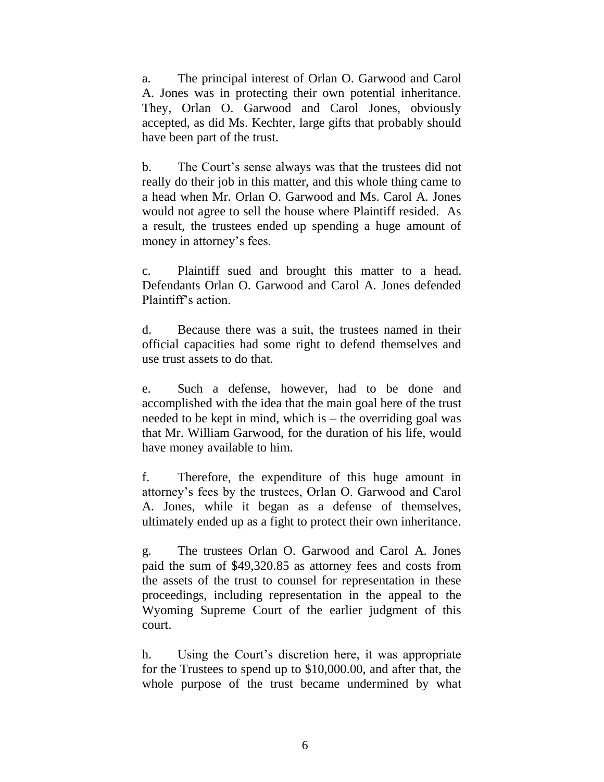a. The principal interest of Orlan O. Garwood and Carol A. Jones was in protecting their own potential inheritance. They, Orlan O. Garwood and Carol Jones, obviously accepted, as did Ms. Kechter, large gifts that probably should have been part of the trust.

b. The Court's sense always was that the trustees did not really do their job in this matter, and this whole thing came to a head when Mr. Orlan O. Garwood and Ms. Carol A. Jones would not agree to sell the house where Plaintiff resided. As a result, the trustees ended up spending a huge amount of money in attorney's fees.

c. Plaintiff sued and brought this matter to a head. Defendants Orlan O. Garwood and Carol A. Jones defended Plaintiff's action.

d. Because there was a suit, the trustees named in their official capacities had some right to defend themselves and use trust assets to do that.

e. Such a defense, however, had to be done and accomplished with the idea that the main goal here of the trust needed to be kept in mind, which is – the overriding goal was that Mr. William Garwood, for the duration of his life, would have money available to him.

f. Therefore, the expenditure of this huge amount in attorney's fees by the trustees, Orlan O. Garwood and Carol A. Jones, while it began as a defense of themselves, ultimately ended up as a fight to protect their own inheritance.

g. The trustees Orlan O. Garwood and Carol A. Jones paid the sum of \$49,320.85 as attorney fees and costs from the assets of the trust to counsel for representation in these proceedings, including representation in the appeal to the Wyoming Supreme Court of the earlier judgment of this court.

h. Using the Court's discretion here, it was appropriate for the Trustees to spend up to \$10,000.00, and after that, the whole purpose of the trust became undermined by what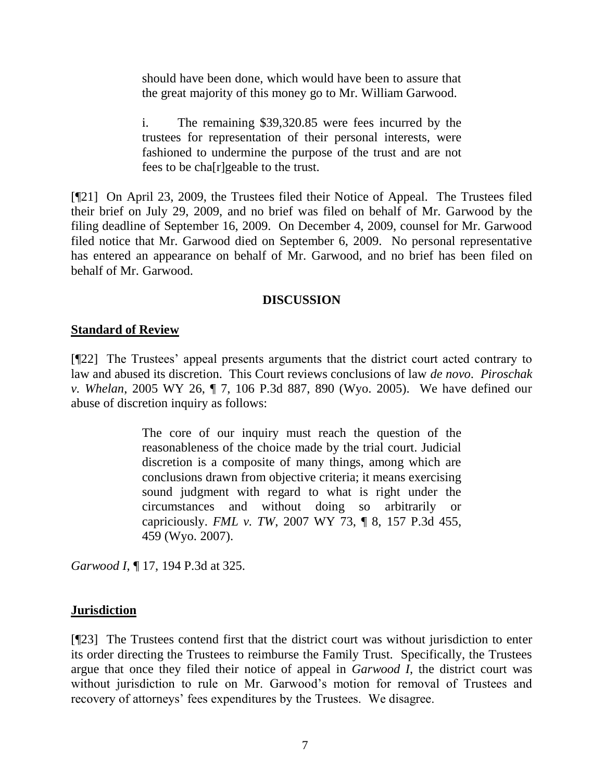should have been done, which would have been to assure that the great majority of this money go to Mr. William Garwood.

i. The remaining \$39,320.85 were fees incurred by the trustees for representation of their personal interests, were fashioned to undermine the purpose of the trust and are not fees to be cha[r]geable to the trust.

[¶21] On April 23, 2009, the Trustees filed their Notice of Appeal. The Trustees filed their brief on July 29, 2009, and no brief was filed on behalf of Mr. Garwood by the filing deadline of September 16, 2009. On December 4, 2009, counsel for Mr. Garwood filed notice that Mr. Garwood died on September 6, 2009. No personal representative has entered an appearance on behalf of Mr. Garwood, and no brief has been filed on behalf of Mr. Garwood.

### **DISCUSSION**

## **Standard of Review**

[¶22] The Trustees' appeal presents arguments that the district court acted contrary to law and abused its discretion. This Court reviews conclusions of law *de novo*. *Piroschak v. Whelan*, 2005 WY 26, ¶ 7, 106 P.3d 887, 890 (Wyo. 2005). We have defined our abuse of discretion inquiry as follows:

> The core of our inquiry must reach the question of the reasonableness of the choice made by the trial court. Judicial discretion is a composite of many things, among which are conclusions drawn from objective criteria; it means exercising sound judgment with regard to what is right under the circumstances and without doing so arbitrarily or capriciously. *[FML v. TW](http://www.westlaw.com/Find/Default.wl?rs=dfa1.0&vr=2.0&DB=4645&FindType=Y&ReferencePositionType=S&SerialNum=2012158399&ReferencePosition=459)*, [2007 WY 73, ¶ 8, 157 P.3d 455,](http://www.westlaw.com/Find/Default.wl?rs=dfa1.0&vr=2.0&DB=4645&FindType=Y&ReferencePositionType=S&SerialNum=2012158399&ReferencePosition=459)  459 (Wyo. 2007).

*Garwood I*, ¶ 17, 194 P.3d at 325.

## **Jurisdiction**

[¶23] The Trustees contend first that the district court was without jurisdiction to enter its order directing the Trustees to reimburse the Family Trust. Specifically, the Trustees argue that once they filed their notice of appeal in *Garwood I*, the district court was without jurisdiction to rule on Mr. Garwood's motion for removal of Trustees and recovery of attorneys' fees expenditures by the Trustees. We disagree.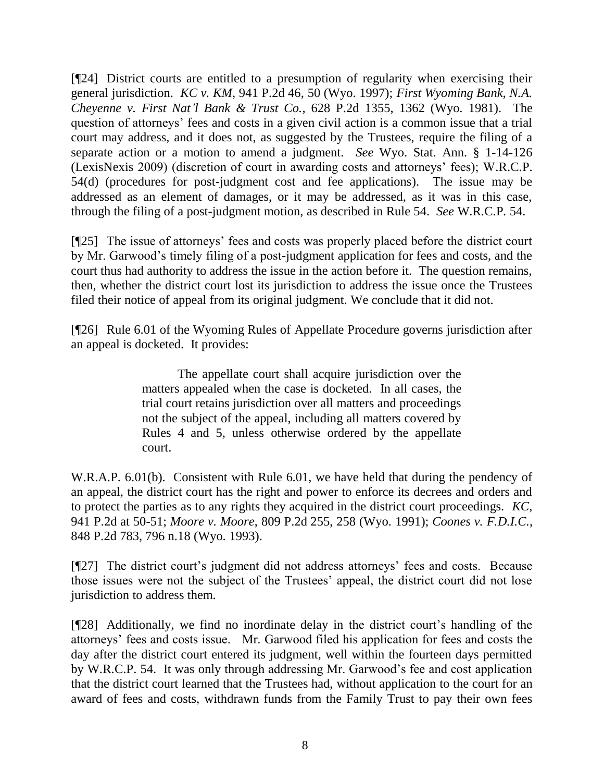[¶24] District courts are entitled to a presumption of regularity when exercising their general jurisdiction. *KC v. KM*, 941 P.2d 46, 50 (Wyo. 1997); *[First Wyoming Bank, N.A.](http://www.westlaw.com/Find/Default.wl?rs=dfa1.0&vr=2.0&DB=661&FindType=Y&ReferencePositionType=S&SerialNum=1981124505&ReferencePosition=1362)  [Cheyenne v. First Nat'l Bank & Trust Co.](http://www.westlaw.com/Find/Default.wl?rs=dfa1.0&vr=2.0&DB=661&FindType=Y&ReferencePositionType=S&SerialNum=1981124505&ReferencePosition=1362)*, [628 P.2d 1355, 1362 \(Wyo.](http://www.westlaw.com/Find/Default.wl?rs=dfa1.0&vr=2.0&DB=661&FindType=Y&ReferencePositionType=S&SerialNum=1981124505&ReferencePosition=1362) 1981). The question of attorneys' fees and costs in a given civil action is a common issue that a trial court may address, and it does not, as suggested by the Trustees, require the filing of a separate action or a motion to amend a judgment. *See* Wyo. Stat. Ann. § 1-14-126 (LexisNexis 2009) (discretion of court in awarding costs and attorneys' fees); W.R.C.P. 54(d) (procedures for post-judgment cost and fee applications). The issue may be addressed as an element of damages, or it may be addressed, as it was in this case, through the filing of a post-judgment motion, as described in Rule 54. *See* W.R.C.P. 54.

[¶25] The issue of attorneys' fees and costs was properly placed before the district court by Mr. Garwood's timely filing of a post-judgment application for fees and costs, and the court thus had authority to address the issue in the action before it. The question remains, then, whether the district court lost its jurisdiction to address the issue once the Trustees filed their notice of appeal from its original judgment. We conclude that it did not.

[¶26] Rule 6.01 of the Wyoming Rules of Appellate Procedure governs jurisdiction after an appeal is docketed. It provides:

> The appellate court shall acquire jurisdiction over the matters appealed when the case is docketed. In all cases, the trial court retains jurisdiction over all matters and proceedings not the subject of the appeal, including all matters covered by Rules 4 and 5, unless otherwise ordered by the appellate court.

W.R.A.P. 6.01(b). Consistent with Rule 6.01, we have held that during the pendency of an appeal, the district court has the right and power to enforce its decrees and orders and to protect the parties as to any rights they acquired in the district court proceedings. *KC*, 941 P.2d at 50-51; *[Moore v. Moore](http://www.westlaw.com/Find/Default.wl?rs=dfa1.0&vr=2.0&DB=661&FindType=Y&ReferencePositionType=S&SerialNum=1991073788&ReferencePosition=258)*, [809 P.2d 255, 258 \(Wyo.](http://www.westlaw.com/Find/Default.wl?rs=dfa1.0&vr=2.0&DB=661&FindType=Y&ReferencePositionType=S&SerialNum=1991073788&ReferencePosition=258) 1991); *[Coones v. F.D.I.C.](http://www.westlaw.com/Find/Default.wl?rs=dfa1.0&vr=2.0&DB=661&FindType=Y&ReferencePositionType=S&SerialNum=1993064966&ReferencePosition=796)*[,](http://www.westlaw.com/Find/Default.wl?rs=dfa1.0&vr=2.0&DB=661&FindType=Y&ReferencePositionType=S&SerialNum=1993064966&ReferencePosition=796) 848 P.2d 783, 796 n.18 (Wyo. 1993).

[¶27] The district court's judgment did not address attorneys' fees and costs. Because those issues were not the subject of the Trustees' appeal, the district court did not lose jurisdiction to address them.

[¶28] Additionally, we find no inordinate delay in the district court's handling of the attorneys' fees and costs issue. Mr. Garwood filed his application for fees and costs the day after the district court entered its judgment, well within the fourteen days permitted by W.R.C.P. 54. It was only through addressing Mr. Garwood's fee and cost application that the district court learned that the Trustees had, without application to the court for an award of fees and costs, withdrawn funds from the Family Trust to pay their own fees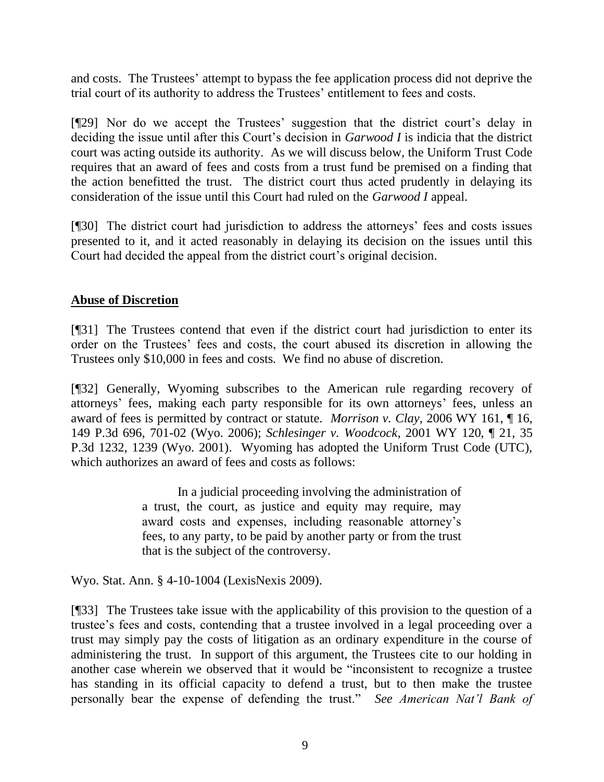and costs. The Trustees' attempt to bypass the fee application process did not deprive the trial court of its authority to address the Trustees' entitlement to fees and costs.

[¶29] Nor do we accept the Trustees' suggestion that the district court's delay in deciding the issue until after this Court's decision in *Garwood I* is indicia that the district court was acting outside its authority. As we will discuss below, the Uniform Trust Code requires that an award of fees and costs from a trust fund be premised on a finding that the action benefitted the trust. The district court thus acted prudently in delaying its consideration of the issue until this Court had ruled on the *Garwood I* appeal.

[¶30] The district court had jurisdiction to address the attorneys' fees and costs issues presented to it, and it acted reasonably in delaying its decision on the issues until this Court had decided the appeal from the district court's original decision.

## **Abuse of Discretion**

[¶31] The Trustees contend that even if the district court had jurisdiction to enter its order on the Trustees' fees and costs, the court abused its discretion in allowing the Trustees only \$10,000 in fees and costs. We find no abuse of discretion.

[¶32] Generally, Wyoming subscribes to the American rule regarding recovery of attorneys' fees, making each party responsible for its own attorneys' fees, unless an award of fees is permitted by contract or statute. *Morrison v. Clay*, 2006 WY 161, ¶ 16, 149 P.3d 696, 701-02 (Wyo. 2006); *[Schlesinger v. Woodcock](http://www.westlaw.com/Find/Default.wl?rs=dfa1.0&vr=2.0&DB=4645&FindType=Y&ReferencePositionType=S&SerialNum=2001516051&ReferencePosition=1239)*, [2001 WY 120, ¶ 21, 35](http://www.westlaw.com/Find/Default.wl?rs=dfa1.0&vr=2.0&DB=4645&FindType=Y&ReferencePositionType=S&SerialNum=2001516051&ReferencePosition=1239)  P.3d 1232, 1239 (Wyo. 2001). Wyoming has adopted the Uniform Trust Code (UTC), which authorizes an award of fees and costs as follows:

> In a judicial proceeding involving the administration of a trust, the court, as justice and equity may require, may award costs and expenses, including reasonable attorney's fees, to any party, to be paid by another party or from the trust that is the subject of the controversy.

Wyo. Stat. Ann. § 4-10-1004 (LexisNexis 2009).

[¶33] The Trustees take issue with the applicability of this provision to the question of a trustee's fees and costs, contending that a trustee involved in a legal proceeding over a trust may simply pay the costs of litigation as an ordinary expenditure in the course of administering the trust. In support of this argument, the Trustees cite to our holding in another case wherein we observed that it would be "inconsistent to recognize a trustee has standing in its official capacity to defend a trust, but to then make the trustee personally bear the expense of defending the trust." *See American Nat'l Bank of*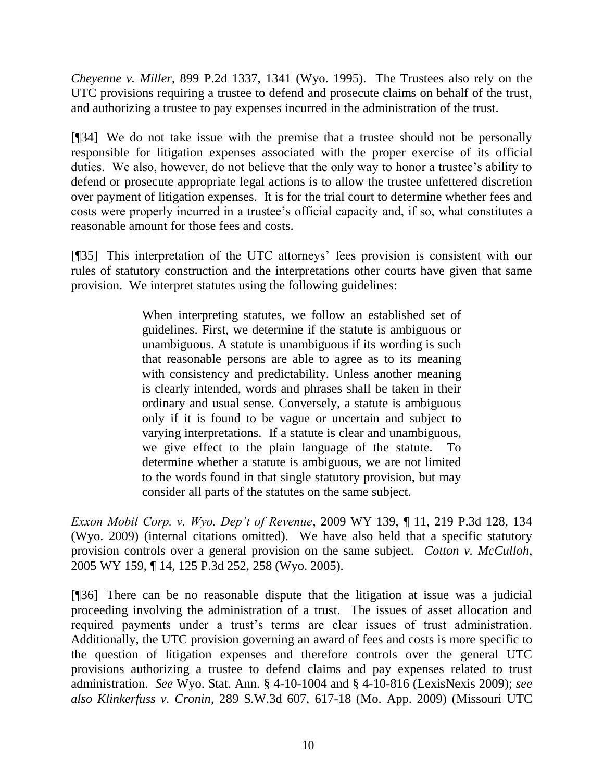*Cheyenne v. Miller*, 899 P.2d 1337, 1341 (Wyo. 1995). The Trustees also rely on the UTC provisions requiring a trustee to defend and prosecute claims on behalf of the trust, and authorizing a trustee to pay expenses incurred in the administration of the trust.

[¶34] We do not take issue with the premise that a trustee should not be personally responsible for litigation expenses associated with the proper exercise of its official duties. We also, however, do not believe that the only way to honor a trustee's ability to defend or prosecute appropriate legal actions is to allow the trustee unfettered discretion over payment of litigation expenses. It is for the trial court to determine whether fees and costs were properly incurred in a trustee's official capacity and, if so, what constitutes a reasonable amount for those fees and costs.

[¶35] This interpretation of the UTC attorneys' fees provision is consistent with our rules of statutory construction and the interpretations other courts have given that same provision. We interpret statutes using the following guidelines:

> When interpreting statutes, we follow an established set of guidelines. First, we determine if the statute is ambiguous or unambiguous. A statute is unambiguous if its wording is such that reasonable persons are able to agree as to its meaning with consistency and predictability. Unless another meaning is clearly intended, words and phrases shall be taken in their ordinary and usual sense. Conversely, a statute is ambiguous only if it is found to be vague or uncertain and subject to varying interpretations. If a statute is clear and unambiguous, we give effect to the plain language of the statute. To determine whether a statute is ambiguous, we are not limited to the words found in that single statutory provision, but may consider all parts of the statutes on the same subject.

*Exxon Mobil Corp. v. Wyo. Dep't of Revenue*, 2009 WY 139, ¶ 11, 219 P.3d 128, 134 (Wyo. 2009) (internal citations omitted). We have also held that a specific statutory provision controls over a general provision on the same subject. *Cotton v. McCulloh*, 2005 WY 159, ¶ 14, 125 P.3d 252, 258 (Wyo. 2005).

[¶36] There can be no reasonable dispute that the litigation at issue was a judicial proceeding involving the administration of a trust. The issues of asset allocation and required payments under a trust's terms are clear issues of trust administration. Additionally, the UTC provision governing an award of fees and costs is more specific to the question of litigation expenses and therefore controls over the general UTC provisions authorizing a trustee to defend claims and pay expenses related to trust administration. *See* Wyo. Stat. Ann. § 4-10-1004 and § 4-10-816 (LexisNexis 2009); *see also Klinkerfuss v. Cronin*, 289 S.W.3d 607, 617-18 (Mo. App. 2009) (Missouri UTC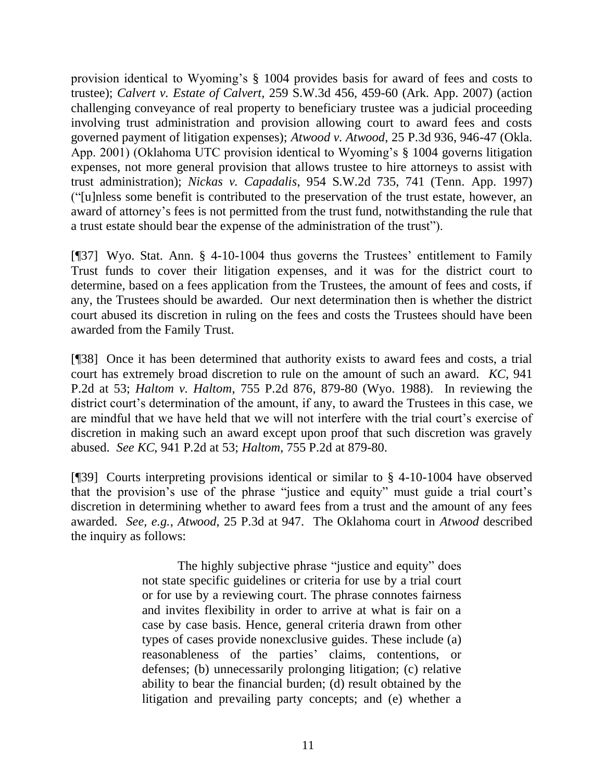provision identical to Wyoming's § 1004 provides basis for award of fees and costs to trustee); *Calvert v. Estate of Calvert*, 259 S.W.3d 456, 459-60 (Ark. App. 2007) (action challenging conveyance of real property to beneficiary trustee was a judicial proceeding involving trust administration and provision allowing court to award fees and costs governed payment of litigation expenses); *Atwood v. Atwood*, 25 P.3d 936, 946-47 (Okla. App. 2001) (Oklahoma UTC provision identical to Wyoming's § 1004 governs litigation expenses, not more general provision that allows trustee to hire attorneys to assist with trust administration); *Nickas v. Capadalis*, 954 S.W.2d 735, 741 (Tenn. App. 1997) ("[u]nless some benefit is contributed to the preservation of the trust estate, however, an award of attorney's fees is not permitted from the trust fund, notwithstanding the rule that a trust estate should bear the expense of the administration of the trust").

[¶37] Wyo. Stat. Ann. § 4-10-1004 thus governs the Trustees' entitlement to Family Trust funds to cover their litigation expenses, and it was for the district court to determine, based on a fees application from the Trustees, the amount of fees and costs, if any, the Trustees should be awarded. Our next determination then is whether the district court abused its discretion in ruling on the fees and costs the Trustees should have been awarded from the Family Trust.

[¶38] Once it has been determined that authority exists to award fees and costs, a trial court has extremely broad discretion to rule on the amount of such an award. *KC*, 941 P.2d at 53; *[Haltom v. Haltom](http://www.westlaw.com/Find/Default.wl?rs=dfa1.0&vr=2.0&DB=661&FindType=Y&ReferencePositionType=S&SerialNum=1988076626&ReferencePosition=879)*, [755 P.2d 876, 879-80 \(Wyo. 1988\).](http://www.westlaw.com/Find/Default.wl?rs=dfa1.0&vr=2.0&DB=661&FindType=Y&ReferencePositionType=S&SerialNum=1988076626&ReferencePosition=879) In reviewing the district court's determination of the amount, if any, to award the Trustees in this case, we are mindful that we have held that we will not interfere with the trial court's exercise of discretion in making such an award except upon proof that such discretion was gravely abused. *See KC*, 941 P.2d at 53; *[Haltom](http://www.westlaw.com/Find/Default.wl?rs=dfa1.0&vr=2.0&DB=661&FindType=Y&ReferencePositionType=S&SerialNum=1988076626&ReferencePosition=879)*, [755 P.2d at 879-80.](http://www.westlaw.com/Find/Default.wl?rs=dfa1.0&vr=2.0&DB=661&FindType=Y&ReferencePositionType=S&SerialNum=1988076626&ReferencePosition=879) 

[¶39] Courts interpreting provisions identical or similar to § 4-10-1004 have observed that the provision's use of the phrase "justice and equity" must guide a trial court's discretion in determining whether to award fees from a trust and the amount of any fees awarded. *See, e.g.*, *Atwood*, 25 P.3d at 947. The Oklahoma court in *Atwood* described the inquiry as follows:

> The highly subjective phrase "justice and equity" does not state specific guidelines or criteria for use by a trial court or for use by a reviewing court. The phrase connotes fairness and invites flexibility in order to arrive at what is fair on a case by case basis. Hence, general criteria drawn from other types of cases provide nonexclusive guides. These include (a) reasonableness of the parties' claims, contentions, or defenses; (b) unnecessarily prolonging litigation; (c) relative ability to bear the financial burden; (d) result obtained by the litigation and prevailing party concepts; and (e) whether a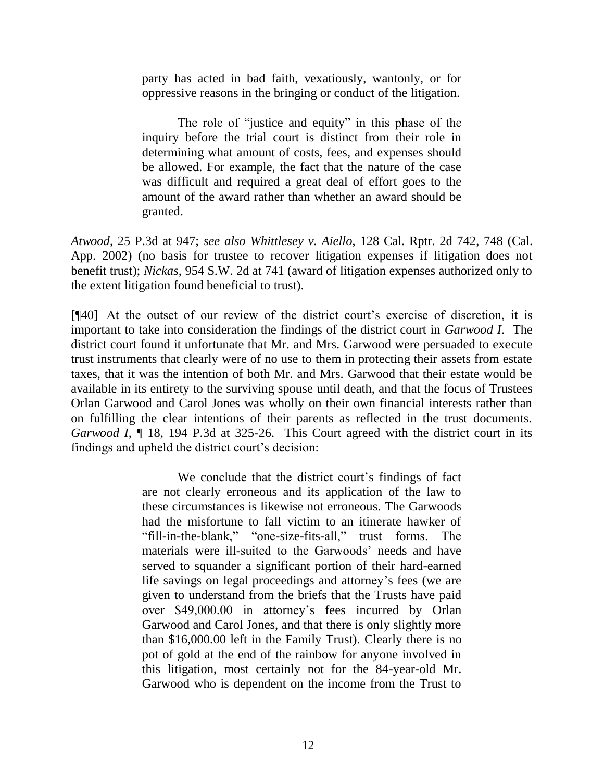party has acted in bad faith, vexatiously, wantonly, or for oppressive reasons in the bringing or conduct of the litigation.

The role of "justice and equity" in this phase of the inquiry before the trial court is distinct from their role in determining what amount of costs, fees, and expenses should be allowed. For example, the fact that the nature of the case was difficult and required a great deal of effort goes to the amount of the award rather than whether an award should be granted.

*Atwood*, 25 P.3d at 947; *see also Whittlesey v. Aiello*, 128 Cal. Rptr. 2d 742, 748 (Cal. App. 2002) (no basis for trustee to recover litigation expenses if litigation does not benefit trust); *Nickas*, 954 S.W. 2d at 741 (award of litigation expenses authorized only to the extent litigation found beneficial to trust).

[¶40] At the outset of our review of the district court's exercise of discretion, it is important to take into consideration the findings of the district court in *Garwood I*. The district court found it unfortunate that Mr. and Mrs. Garwood were persuaded to execute trust instruments that clearly were of no use to them in protecting their assets from estate taxes, that it was the intention of both Mr. and Mrs. Garwood that their estate would be available in its entirety to the surviving spouse until death, and that the focus of Trustees Orlan Garwood and Carol Jones was wholly on their own financial interests rather than on fulfilling the clear intentions of their parents as reflected in the trust documents. *Garwood I*, 18, 194 P.3d at 325-26. This Court agreed with the district court in its findings and upheld the district court's decision:

> We conclude that the district court's findings of fact are not clearly erroneous and its application of the law to these circumstances is likewise not erroneous. The Garwoods had the misfortune to fall victim to an itinerate hawker of "fill-in-the-blank," "one-size-fits-all," trust forms. The materials were ill-suited to the Garwoods' needs and have served to squander a significant portion of their hard-earned life savings on legal proceedings and attorney's fees (we are given to understand from the briefs that the Trusts have paid over \$49,000.00 in attorney's fees incurred by Orlan Garwood and Carol Jones, and that there is only slightly more than \$16,000.00 left in the Family Trust). Clearly there is no pot of gold at the end of the rainbow for anyone involved in this litigation, most certainly not for the 84-year-old Mr. Garwood who is dependent on the income from the Trust to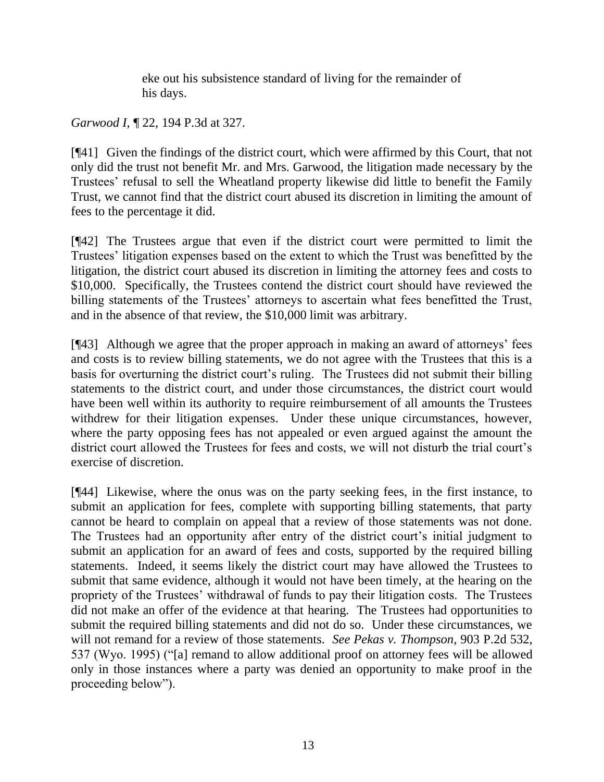eke out his subsistence standard of living for the remainder of his days.

*Garwood I*, ¶ 22, 194 P.3d at 327.

[¶41] Given the findings of the district court, which were affirmed by this Court, that not only did the trust not benefit Mr. and Mrs. Garwood, the litigation made necessary by the Trustees' refusal to sell the Wheatland property likewise did little to benefit the Family Trust, we cannot find that the district court abused its discretion in limiting the amount of fees to the percentage it did.

[¶42] The Trustees argue that even if the district court were permitted to limit the Trustees' litigation expenses based on the extent to which the Trust was benefitted by the litigation, the district court abused its discretion in limiting the attorney fees and costs to \$10,000. Specifically, the Trustees contend the district court should have reviewed the billing statements of the Trustees' attorneys to ascertain what fees benefitted the Trust, and in the absence of that review, the \$10,000 limit was arbitrary.

[¶43] Although we agree that the proper approach in making an award of attorneys' fees and costs is to review billing statements, we do not agree with the Trustees that this is a basis for overturning the district court's ruling. The Trustees did not submit their billing statements to the district court, and under those circumstances, the district court would have been well within its authority to require reimbursement of all amounts the Trustees withdrew for their litigation expenses. Under these unique circumstances, however, where the party opposing fees has not appealed or even argued against the amount the district court allowed the Trustees for fees and costs, we will not disturb the trial court's exercise of discretion.

[¶44] Likewise, where the onus was on the party seeking fees, in the first instance, to submit an application for fees, complete with supporting billing statements, that party cannot be heard to complain on appeal that a review of those statements was not done. The Trustees had an opportunity after entry of the district court's initial judgment to submit an application for an award of fees and costs, supported by the required billing statements. Indeed, it seems likely the district court may have allowed the Trustees to submit that same evidence, although it would not have been timely, at the hearing on the propriety of the Trustees' withdrawal of funds to pay their litigation costs. The Trustees did not make an offer of the evidence at that hearing. The Trustees had opportunities to submit the required billing statements and did not do so. Under these circumstances, we will not remand for a review of those statements. *See Pekas v. Thompson*, 903 P.2d 532, 537 (Wyo. 1995) ("[a] remand to allow additional proof on attorney fees will be allowed only in those instances where a party was denied an opportunity to make proof in the proceeding below").